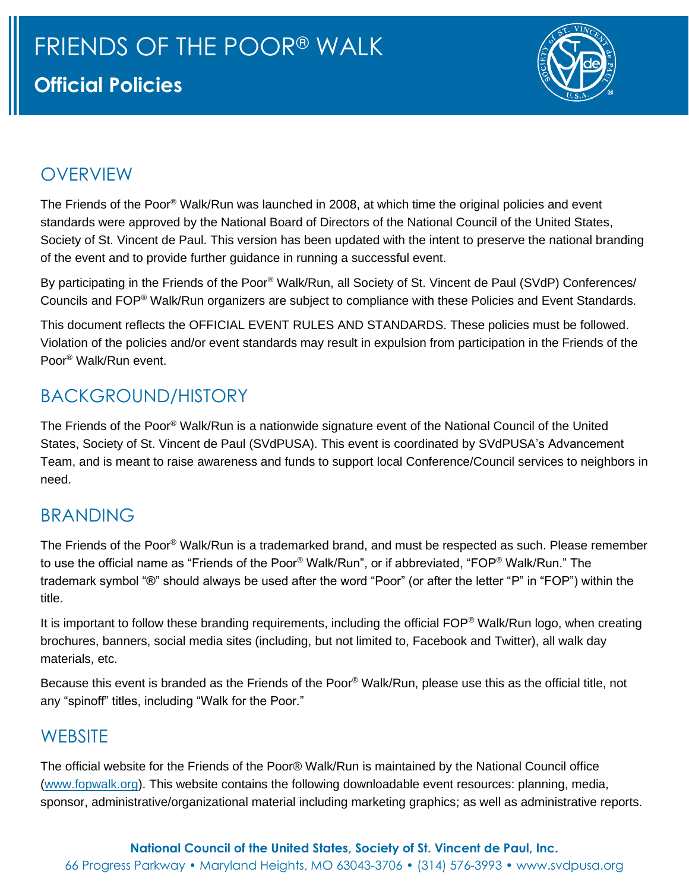

#### OVERVIEW

The Friends of the Poor® Walk/Run was launched in 2008, at which time the original policies and event standards were approved by the National Board of Directors of the National Council of the United States, Society of St. Vincent de Paul. This version has been updated with the intent to preserve the national branding of the event and to provide further guidance in running a successful event.

By participating in the Friends of the Poor® Walk/Run, all Society of St. Vincent de Paul (SVdP) Conferences/ Councils and FOP® Walk/Run organizers are subject to compliance with these Policies and Event Standards.

This document reflects the OFFICIAL EVENT RULES AND STANDARDS. These policies must be followed. Violation of the policies and/or event standards may result in expulsion from participation in the Friends of the Poor® Walk/Run event.

## BACKGROUND/HISTORY

The Friends of the Poor® Walk/Run is a nationwide signature event of the National Council of the United States, Society of St. Vincent de Paul (SVdPUSA). This event is coordinated by SVdPUSA's Advancement Team, and is meant to raise awareness and funds to support local Conference/Council services to neighbors in need.

#### BRANDING

The Friends of the Poor® Walk/Run is a trademarked brand, and must be respected as such. Please remember to use the official name as "Friends of the Poor® Walk/Run", or if abbreviated, "FOP® Walk/Run." The trademark symbol "®" should always be used after the word "Poor" (or after the letter "P" in "FOP") within the title.

It is important to follow these branding requirements, including the official FOP® Walk/Run logo, when creating brochures, banners, social media sites (including, but not limited to, Facebook and Twitter), all walk day materials, etc.

Because this event is branded as the Friends of the Poor® Walk/Run, please use this as the official title, not any "spinoff" titles, including "Walk for the Poor."

#### **WEBSITE**

The official website for the Friends of the Poor® Walk/Run is maintained by the National Council office (www.fopwalk.org). This website contains the following downloadable event resources: planning, media, sponsor, administrative/organizational material including marketing graphics; as well as administrative reports.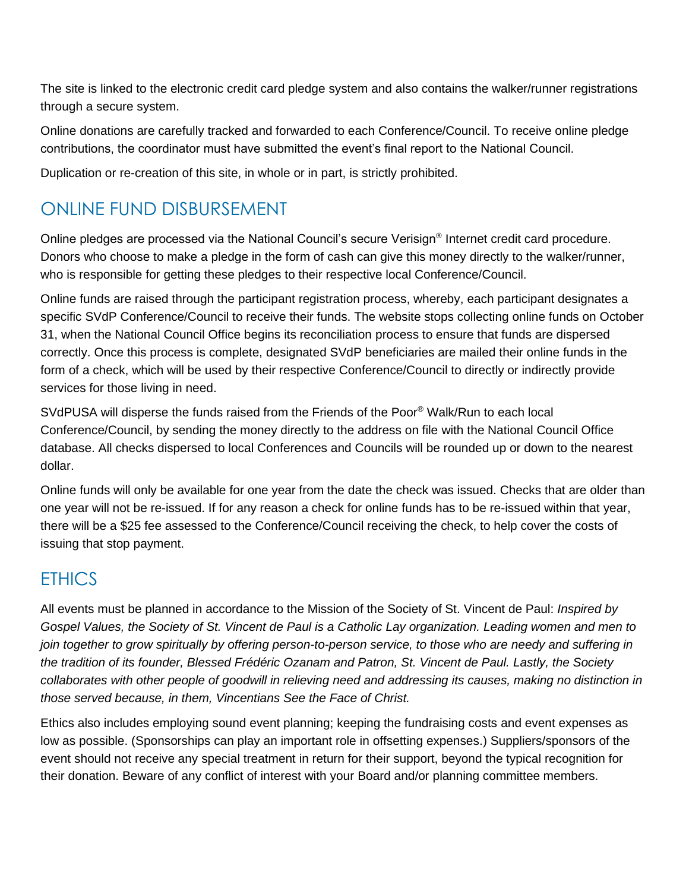The site is linked to the electronic credit card pledge system and also contains the walker/runner registrations through a secure system.

Online donations are carefully tracked and forwarded to each Conference/Council. To receive online pledge contributions, the coordinator must have submitted the event's final report to the National Council.

Duplication or re-creation of this site, in whole or in part, is strictly prohibited.

## ONLINE FUND DISBURSEMENT

Online pledges are processed via the National Council's secure Verisign® Internet credit card procedure. Donors who choose to make a pledge in the form of cash can give this money directly to the walker/runner, who is responsible for getting these pledges to their respective local Conference/Council.

Online funds are raised through the participant registration process, whereby, each participant designates a specific SVdP Conference/Council to receive their funds. The website stops collecting online funds on October 31, when the National Council Office begins its reconciliation process to ensure that funds are dispersed correctly. Once this process is complete, designated SVdP beneficiaries are mailed their online funds in the form of a check, which will be used by their respective Conference/Council to directly or indirectly provide services for those living in need.

SVdPUSA will disperse the funds raised from the Friends of the Poor® Walk/Run to each local Conference/Council, by sending the money directly to the address on file with the National Council Office database. All checks dispersed to local Conferences and Councils will be rounded up or down to the nearest dollar.

Online funds will only be available for one year from the date the check was issued. Checks that are older than one year will not be re-issued. If for any reason a check for online funds has to be re-issued within that year, there will be a \$25 fee assessed to the Conference/Council receiving the check, to help cover the costs of issuing that stop payment.

#### **FTHICS**

All events must be planned in accordance to the Mission of the Society of St. Vincent de Paul: *Inspired by Gospel Values, the Society of St. Vincent de Paul is a Catholic Lay organization. Leading women and men to join together to grow spiritually by offering person-to-person service, to those who are needy and suffering in the tradition of its founder, Blessed Frédéric Ozanam and Patron, St. Vincent de Paul. Lastly, the Society*  collaborates with other people of goodwill in relieving need and addressing its causes, making no distinction in *those served because, in them, Vincentians See the Face of Christ.* 

Ethics also includes employing sound event planning; keeping the fundraising costs and event expenses as low as possible. (Sponsorships can play an important role in offsetting expenses.) Suppliers/sponsors of the event should not receive any special treatment in return for their support, beyond the typical recognition for their donation. Beware of any conflict of interest with your Board and/or planning committee members.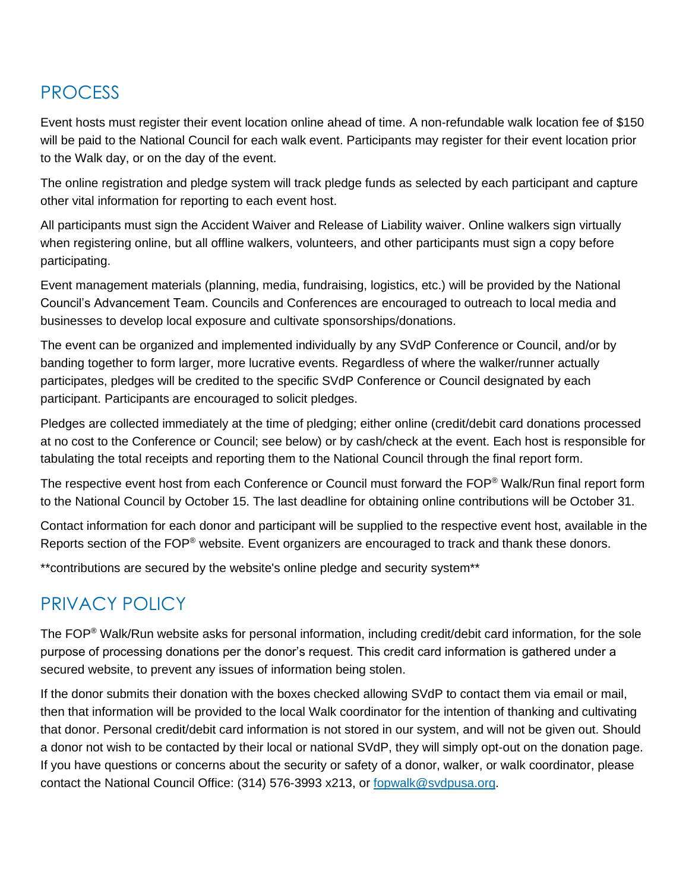#### PROCESS

Event hosts must register their event location online ahead of time. A non-refundable walk location fee of \$150 will be paid to the National Council for each walk event. Participants may register for their event location prior to the Walk day, or on the day of the event.

The online registration and pledge system will track pledge funds as selected by each participant and capture other vital information for reporting to each event host.

All participants must sign the Accident Waiver and Release of Liability waiver. Online walkers sign virtually when registering online, but all offline walkers, volunteers, and other participants must sign a copy before participating.

Event management materials (planning, media, fundraising, logistics, etc.) will be provided by the National Council's Advancement Team. Councils and Conferences are encouraged to outreach to local media and businesses to develop local exposure and cultivate sponsorships/donations.

The event can be organized and implemented individually by any SVdP Conference or Council, and/or by banding together to form larger, more lucrative events. Regardless of where the walker/runner actually participates, pledges will be credited to the specific SVdP Conference or Council designated by each participant. Participants are encouraged to solicit pledges.

Pledges are collected immediately at the time of pledging; either online (credit/debit card donations processed at no cost to the Conference or Council; see below) or by cash/check at the event. Each host is responsible for tabulating the total receipts and reporting them to the National Council through the final report form.

The respective event host from each Conference or Council must forward the FOP® Walk/Run final report form to the National Council by October 15. The last deadline for obtaining online contributions will be October 31.

Contact information for each donor and participant will be supplied to the respective event host, available in the Reports section of the FOP<sup>®</sup> website. Event organizers are encouraged to track and thank these donors.

\*\*contributions are secured by the website's online pledge and security system\*\*

#### PRIVACY POLICY

The FOP® Walk/Run website asks for personal information, including credit/debit card information, for the sole purpose of processing donations per the donor's request. This credit card information is gathered under a secured website, to prevent any issues of information being stolen.

If the donor submits their donation with the boxes checked allowing SVdP to contact them via email or mail, then that information will be provided to the local Walk coordinator for the intention of thanking and cultivating that donor. Personal credit/debit card information is not stored in our system, and will not be given out. Should a donor not wish to be contacted by their local or national SVdP, they will simply opt-out on the donation page. If you have questions or concerns about the security or safety of a donor, walker, or walk coordinator, please contact the National Council Office: (314) 576-3993 x213, or fopwalk@svdpusa.org.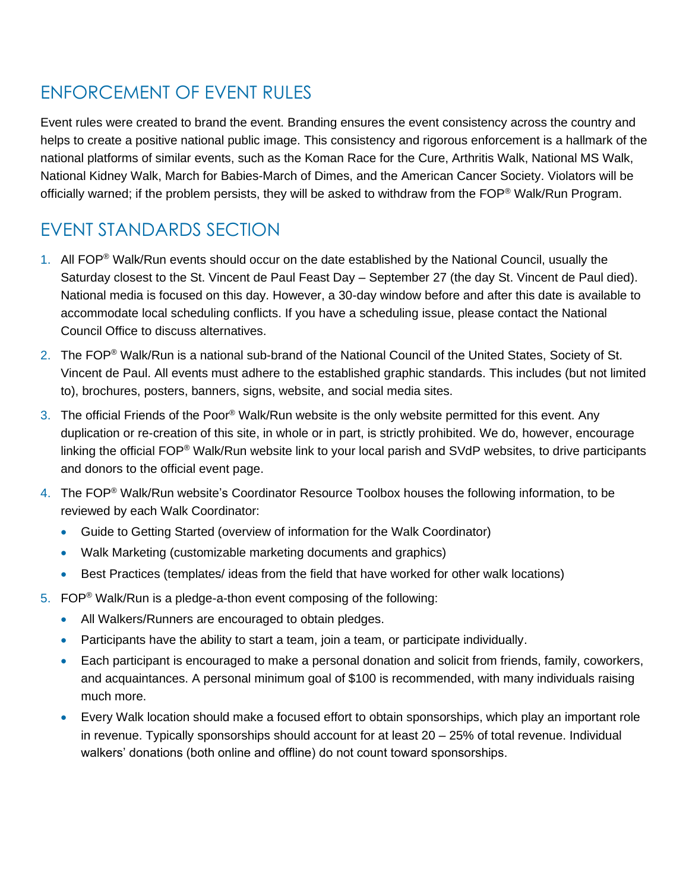## ENFORCEMENT OF EVENT RULES

Event rules were created to brand the event. Branding ensures the event consistency across the country and helps to create a positive national public image. This consistency and rigorous enforcement is a hallmark of the national platforms of similar events, such as the Koman Race for the Cure, Arthritis Walk, National MS Walk, National Kidney Walk, March for Babies-March of Dimes, and the American Cancer Society. Violators will be officially warned; if the problem persists, they will be asked to withdraw from the FOP® Walk/Run Program.

# EVENT STANDARDS SECTION

- 1. All FOP<sup>®</sup> Walk/Run events should occur on the date established by the National Council, usually the Saturday closest to the St. Vincent de Paul Feast Day – September 27 (the day St. Vincent de Paul died). National media is focused on this day. However, a 30-day window before and after this date is available to accommodate local scheduling conflicts. If you have a scheduling issue, please contact the National Council Office to discuss alternatives.
- 2. The FOP<sup>®</sup> Walk/Run is a national sub-brand of the National Council of the United States, Society of St. Vincent de Paul. All events must adhere to the established graphic standards. This includes (but not limited to), brochures, posters, banners, signs, website, and social media sites.
- 3. The official Friends of the Poor® Walk/Run website is the only website permitted for this event. Any duplication or re-creation of this site, in whole or in part, is strictly prohibited. We do, however, encourage linking the official FOP® Walk/Run website link to your local parish and SVdP websites, to drive participants and donors to the official event page.
- 4. The FOP® Walk/Run website's Coordinator Resource Toolbox houses the following information, to be reviewed by each Walk Coordinator:
	- Guide to Getting Started (overview of information for the Walk Coordinator)
	- Walk Marketing (customizable marketing documents and graphics)
	- Best Practices (templates/ideas from the field that have worked for other walk locations)
- 5. FOP<sup>®</sup> Walk/Run is a pledge-a-thon event composing of the following:
	- All Walkers/Runners are encouraged to obtain pledges.
	- Participants have the ability to start a team, join a team, or participate individually.
	- Each participant is encouraged to make a personal donation and solicit from friends, family, coworkers, and acquaintances. A personal minimum goal of \$100 is recommended, with many individuals raising much more.
	- Every Walk location should make a focused effort to obtain sponsorships, which play an important role in revenue. Typically sponsorships should account for at least 20 – 25% of total revenue. Individual walkers' donations (both online and offline) do not count toward sponsorships.